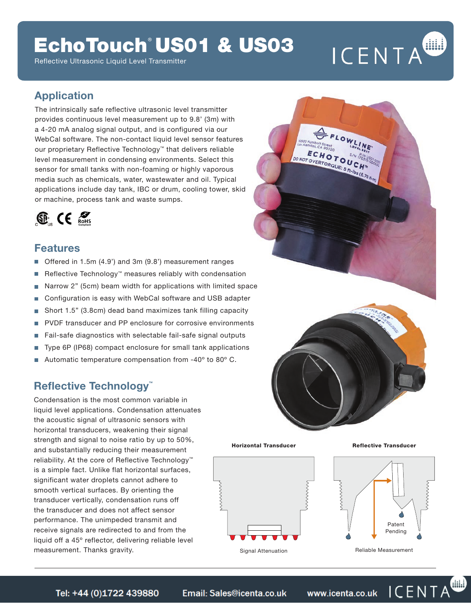# EchoTouch® US01 & US03

Reflective Ultrasonic Liquid Level Transmitter

# ICENTA

FLOWLINE

**FCHOTOURS** DO NOT OVERTORQUE: S ft-lbs

### **Application**

The intrinsically safe reflective ultrasonic level transmitter provides continuous level measurement up to 9.8' (3m) with a 4-20 mA analog signal output, and is configured via our WebCal software. The non-contact liquid level sensor features our proprietary Reflective Technology™ that delivers reliable level measurement in condensing environments. Select this sensor for small tanks with non-foaming or highly vaporous media such as chemicals, water, wastewater and oil. Typical applications include day tank, IBC or drum, cooling tower, skid or machine, process tank and waste sumps.



### **Features**

- m, Offered in 1.5m (4.9') and 3m (9.8') measurement ranges
- П Reflective Technology™ measures reliably with condensation
- Narrow 2" (5cm) beam width for applications with limited space Ē.
- Configuration is easy with WebCal software and USB adapter П
- Short 1.5" (3.8cm) dead band maximizes tank filling capacity г
- PVDF transducer and PP enclosure for corrosive environments m,
- Fail-safe diagnostics with selectable fail-safe signal outputs г
- Type 6P (IP68) compact enclosure for small tank applications r
- Automatic temperature compensation from -40º to 80º C.

### **Reflective Technology™**

Condensation is the most common variable in liquid level applications. Condensation attenuates the acoustic signal of ultrasonic sensors with horizontal transducers, weakening their signal strength and signal to noise ratio by up to 50%, and substantially reducing their measurement reliability. At the core of Reflective Technology™ is a simple fact. Unlike flat horizontal surfaces, significant water droplets cannot adhere to smooth vertical surfaces. By orienting the transducer vertically, condensation runs off the transducer and does not affect sensor performance. The unimpeded transmit and receive signals are redirected to and from the liquid off a 45º reflector, delivering reliable level measurement. Thanks gravity.

Horizontal Transducer



Reflective Transducer



Reliable Measurement

ICENTA

Email: Sales@icenta.co.uk Tel: +44 (0)1722 439880

www.icenta.co.uk